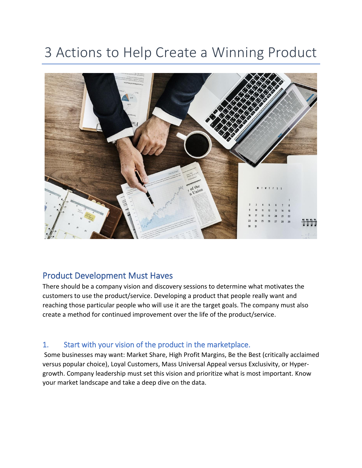# 3 Actions to Help Create a Winning Product



## Product Development Must Haves

There should be a company vision and discovery sessions to determine what motivates the customers to use the product/service. Developing a product that people really want and reaching those particular people who will use it are the target goals. The company must also create a method for continued improvement over the life of the product/service.

#### 1. Start with your vision of the product in the marketplace.

Some businesses may want: Market Share, High Profit Margins, Be the Best (critically acclaimed versus popular choice), Loyal Customers, Mass Universal Appeal versus Exclusivity, or Hypergrowth. Company leadership must set this vision and prioritize what is most important. Know your market landscape and take a deep dive on the data.